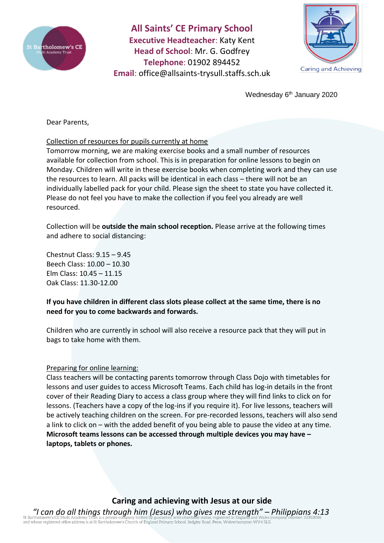

**All Saints' CE Primary School Executive Headteacher**: Katy Kent **Head of School**: Mr. G. Godfrey **Telephone**: 01902 894452 **Email**: [office@allsaints-trysull.staffs.sch.uk](mailto:office@allsaints-trysull.staffs.sch.uk)



Wednesday 6<sup>th</sup> January 2020

Dear Parents,

### Collection of resources for pupils currently at home

Tomorrow morning, we are making exercise books and a small number of resources available for collection from school. This is in preparation for online lessons to begin on Monday. Children will write in these exercise books when completing work and they can use the resources to learn. All packs will be identical in each class – there will not be an individually labelled pack for your child. Please sign the sheet to state you have collected it. Please do not feel you have to make the collection if you feel you already are well resourced.

Collection will be **outside the main school reception.** Please arrive at the following times and adhere to social distancing:

Chestnut Class: 9.15 – 9.45 Beech Class: 10.00 – 10.30 Elm Class: 10.45 – 11.15 Oak Class: 11.30-12.00

## **If you have children in different class slots please collect at the same time, there is no need for you to come backwards and forwards.**

Children who are currently in school will also receive a resource pack that they will put in bags to take home with them.

#### Preparing for online learning:

Class teachers will be contacting parents tomorrow through Class Dojo with timetables for lessons and user guides to access Microsoft Teams. Each child has log-in details in the front cover of their Reading Diary to access a class group where they will find links to click on for lessons. (Teachers have a copy of the log-ins if you require it). For live lessons, teachers will be actively teaching children on the screen. For pre-recorded lessons, teachers will also send a link to click on – with the added benefit of you being able to pause the video at any time. **Microsoft teams lessons can be accessed through multiple devices you may have – laptops, tablets or phones.**

# **Caring and achieving with Jesus at our side**

*"I can do all things through him (Jesus) who gives me strength" – Philippians 4:13* or Bartholomew s CE Putul Academy Trust is a private company minical or guaranteer, will contribute status, registered office address is at St Bartholomew's Church of England Primary School, Sedgley Road, Penn, Wolverhampt